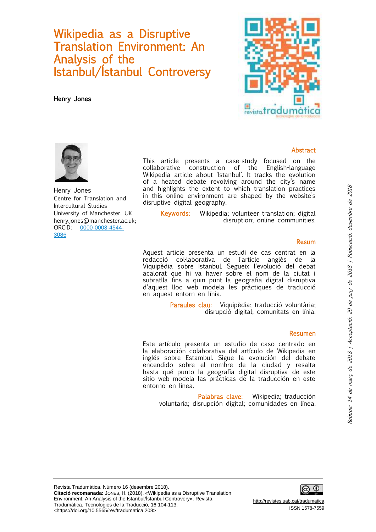## Wikipedia as a Disruptive Translation Environment: An Analysis of the Istanbul/Ístanbul Controversy

Henry Jones





Henry Jones Centre for Translation and Intercultural Studies University of Manchester, UK henry.jones@manchester.ac.uk; ORCID: [0000-0003-4544-](http://orcid.org/0000-0003-4544-3086) [3086](http://orcid.org/0000-0003-4544-3086)

This article presents a case-study focused on the collaborative construction of the English-language Wikipedia article about 'Istanbul'. It tracks the evolution of a heated debate revolving around the city's name and highlights the extent to which translation practices in this online environment are shaped by the website's disruptive digital geography.

Keywords: Wikipedia; volunteer translation; digital disruption; online communities.

#### Resum

Abstract

Aquest article presenta un estudi de cas centrat en la redacció col·laborativa de l'article anglès de la Viquipèdia sobre Istanbul. Segueix l'evolució del debat acalorat que hi va haver sobre el nom de la ciutat i subratlla fins a quin punt la geografia digital disruptiva d'aquest lloc web modela les pràctiques de traducció en aquest entorn en línia.

> Paraules clau: Viquipèdia; traducció voluntària; disrupció digital; comunitats en línia.

#### Resumen

Este artículo presenta un estudio de caso centrado en la elaboración colaborativa del artículo de Wikipedia en inglés sobre Estambul. Sigue la evolución del debate encendido sobre el nombre de la ciudad y resalta hasta qué punto la geografía digital disruptiva de este sitio web modela las prácticas de la traducción en este entorno en línea.

Palabras clave: Wikipedia; traducción voluntaria; disrupción digital; comunidades en línea.

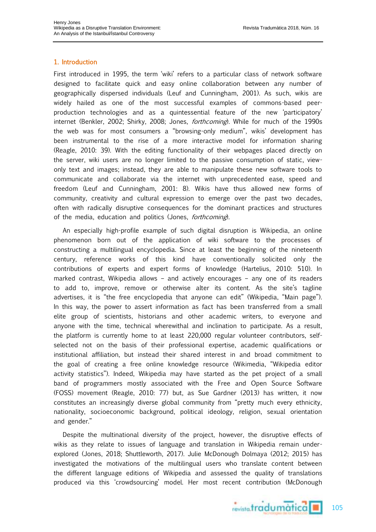### 1. Introduction

First introduced in 1995, the term 'wiki' refers to a particular class of network software designed to facilitate quick and easy online collaboration between any number of geographically dispersed individuals (Leuf and Cunningham, 2001). As such, wikis are widely hailed as one of the most successful examples of commons-based peerproduction technologies and as a quintessential feature of the new 'participatory' internet (Benkler, 2002; Shirky, 2008; Jones, *forthcoming*). While for much of the 1990s the web was for most consumers a "browsing-only medium", wikis' development has been instrumental to the rise of a more interactive model for information sharing (Reagle, 2010: 39). With the editing functionality of their webpages placed directly on the server, wiki users are no longer limited to the passive consumption of static, viewonly text and images; instead, they are able to manipulate these new software tools to communicate and collaborate via the internet with unprecedented ease, speed and freedom (Leuf and Cunningham, 2001: 8). Wikis have thus allowed new forms of community, creativity and cultural expression to emerge over the past two decades, often with radically disruptive consequences for the dominant practices and structures of the media, education and politics (Jones, forthcoming).

An especially high-profile example of such digital disruption is Wikipedia, an online phenomenon born out of the application of wiki software to the processes of constructing a multilingual encyclopedia. Since at least the beginning of the nineteenth century, reference works of this kind have conventionally solicited only the contributions of experts and expert forms of knowledge (Hartelius, 2010: 510). In marked contrast, Wikipedia allows – and actively encourages – any one of its readers to add to, improve, remove or otherwise alter its content. As the site's tagline advertises, it is "the free encyclopedia that anyone can edit" (Wikipedia, "Main page"). In this way, the power to assert information as fact has been transferred from a small elite group of scientists, historians and other academic writers, to everyone and anyone with the time, technical wherewithal and inclination to participate. As a result, the platform is currently home to at least 220,000 regular volunteer contributors, selfselected not on the basis of their professional expertise, academic qualifications or institutional affiliation, but instead their shared interest in and broad commitment to the goal of creating a free online knowledge resource (Wikimedia, "Wikipedia editor activity statistics"). Indeed, Wikipedia may have started as the pet project of a small band of programmers mostly associated with the Free and Open Source Software (FOSS) movement (Reagle, 2010: 77) but, as Sue Gardner (2013) has written, it now constitutes an increasingly diverse global community from "pretty much every ethnicity, nationality, socioeconomic background, political ideology, religion, sexual orientation and gender."

Despite the multinational diversity of the project, however, the disruptive effects of wikis as they relate to issues of language and translation in Wikipedia remain underexplored (Jones, 2018; Shuttleworth, 2017). Julie McDonough Dolmaya (2012; 2015) has investigated the motivations of the multilingual users who translate content between the different language editions of Wikipedia and assessed the quality of translations produced via this 'crowdsourcing' model. Her most recent contribution (McDonough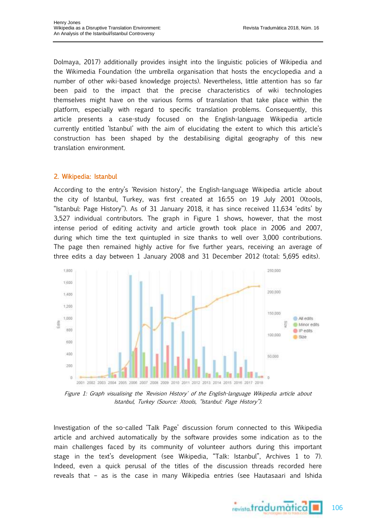Dolmaya, 2017) additionally provides insight into the linguistic policies of Wikipedia and the Wikimedia Foundation (the umbrella organisation that hosts the encyclopedia and a number of other wiki-based knowledge projects). Nevertheless, little attention has so far been paid to the impact that the precise characteristics of wiki technologies themselves might have on the various forms of translation that take place within the platform, especially with regard to specific translation problems. Consequently, this article presents a case-study focused on the English-language Wikipedia article currently entitled 'Istanbul' with the aim of elucidating the extent to which this article's construction has been shaped by the destabilising digital geography of this new translation environment.

#### 2. Wikipedia: Istanbul

According to the entry's 'Revision history', the English-language Wikipedia article about the city of Istanbul, Turkey, was first created at 16:55 on 19 July 2001 (Xtools, "Istanbul: Page History"). As of 31 January 2018, it has since received 11,634 'edits' by 3,527 individual contributors. The graph in Figure 1 shows, however, that the most intense period of editing activity and article growth took place in 2006 and 2007, during which time the text quintupled in size thanks to well over 3,000 contributions. The page then remained highly active for five further years, receiving an average of three edits a day between 1 January 2008 and 31 December 2012 (total: 5,695 edits).



Figure 1: Graph visualising the 'Revision History' of the English-language Wikipedia article about Istanbul, Turkey (Source: Xtools, "Istanbul: Page History").

Investigation of the so-called 'Talk Page' discussion forum connected to this Wikipedia article and archived automatically by the software provides some indication as to the main challenges faced by its community of volunteer authors during this important stage in the text's development (see Wikipedia, "Talk: Istanbul", Archives 1 to 7). Indeed, even a quick perusal of the titles of the discussion threads recorded here reveals that – as is the case in many Wikipedia entries (see Hautasaari and Ishida

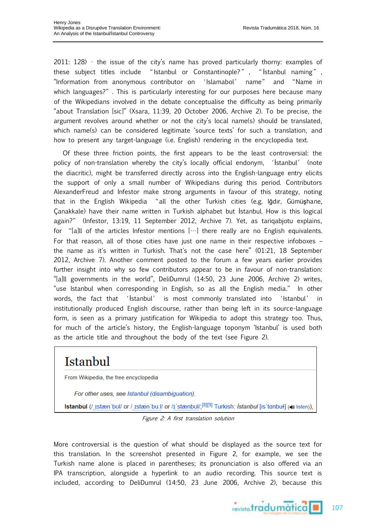2011: 128) – the issue of the city's name has proved particularly thorny: examples of these subject titles include " Istanbul or Constantinople? " , " İstanbul naming " , "Information from anonymous contributor on 'Islamabol' name" and "Name in which languages?". This is particularly interesting for our purposes here because many of the Wikipedians involved in the debate conceptualise the difficulty as being primarily "about Translation [sic]" (Xsara, 11:39, 20 October 2006, Archive 2). To be precise, the argument revolves around whether or not the city's local name(s) should be translated, which name(s) can be considered legitimate 'source texts' for such a translation, and how to present any target-language (i.e. English) rendering in the encyclopedia text.

Of these three friction points, the first appears to be the least controversial: the policy of non-translation whereby the city's locally official endonym, 'İstanbul' (note the diacritic), might be transferred directly across into the English-language entry elicits the support of only a small number of Wikipedians during this period. Contributors AlexanderFreud and Infestor make strong arguments in favour of this strategy, noting that in the English Wikipedia "all the other Turkish cities (e.g. Iğdır, Gümüşhane, Çanakkale) have their name written in Turkish alphabet but İstanbul. How is this logical again?" (Infestor, 13:19, 11 September 2012, Archive 7). Yet, as tariqabjotu explains, for "[a]ll of the articles Infestor mentions […] there really are no English equivalents. For that reason, all of those cities have just one name in their respective infoboxes – the name as it's written in Turkish. That's not the case here" (01:21, 18 September 2012, Archive 7). Another comment posted to the forum a few years earlier provides further insight into why so few contributors appear to be in favour of non-translation: "[a]ll governments in the world", DeliDumrul (14:50, 23 June 2006, Archive 2) writes, "use Istanbul when corresponding in English, so as all the English media." In other words, the fact that 'İstanbul' is most commonly translated into 'Istanbul' in institutionally produced English discourse, rather than being left in its source-language form, is seen as a primary justification for Wikipedia to adopt this strategy too. Thus, for much of the article's history, the English-language toponym 'Istanbul' is used both as the article title and throughout the body of the text (see Figure 2).

# Istanbul

From Wikipedia, the free encyclopedia

For other uses, see Istanbul (disambiguation).

**Istanbul** (/ tstæn'bul/ or / tstæn'bu:l/ or /t'stænbul/;<sup>[8][9]</sup> Turkish: *İstanbul* [is'tanbuł] ((\*) listen)),

Figure 2: A first translation solution

More controversial is the question of what should be displayed as the source text for this translation. In the screenshot presented in Figure 2, for example, we see the Turkish name alone is placed in parentheses; its pronunciation is also offered via an IPA transcription, alongside a hyperlink to an audio recording. This source text is included, according to DeliDumrul (14:50, 23 June 2006, Archive 2), because this

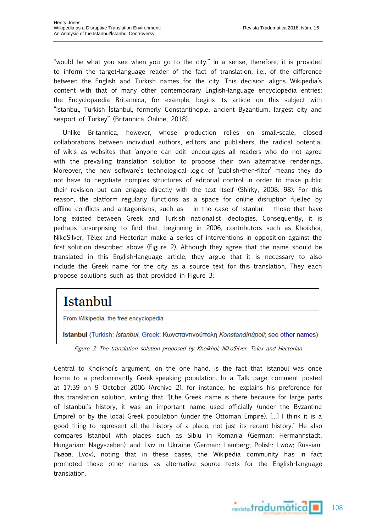"would be what you see when you go to the city." In a sense, therefore, it is provided to inform the target-language reader of the fact of translation, i.e., of the difference between the English and Turkish names for the city. This decision aligns Wikipedia's content with that of many other contemporary English-language encyclopedia entries: the Encyclopaedia Britannica, for example, begins its article on this subject with "Istanbul, Turkish İstanbul, formerly Constantinople, ancient Byzantium, largest city and seaport of Turkey" (Britannica Online, 2018).

Unlike Britannica, however, whose production relies on small-scale, closed collaborations between individual authors, editors and publishers, the radical potential of wikis as websites that 'anyone can edit' encourages all readers who do not agree with the prevailing translation solution to propose their own alternative renderings. Moreover, the new software's technological logic of 'publish-then-filter' means they do not have to negotiate complex structures of editorial control in order to make public their revision but can engage directly with the text itself (Shirky, 2008: 98). For this reason, the platform regularly functions as a space for online disruption fuelled by offline conflicts and antagonisms, such as – in the case of Istanbul – those that have long existed between Greek and Turkish nationalist ideologies. Consequently, it is perhaps unsurprising to find that, beginning in 2006, contributors such as Khoikhoi, NikoSilver, Tēlex and Hectorian make a series of interventions in opposition against the first solution described above (Figure 2). Although they agree that the name should be translated in this English-language article, they argue that it is necessary to also include the Greek name for the city as a source text for this translation. They each propose solutions such as that provided in Figure 3:

# Istanbul

From Wikipedia, the free encyclopedia

Istanbul (Turkish: İstanbul, Greek: Κωνσταντινούπολη Konstandinúpoli; see other names)

Figure 3: The translation solution proposed by Khoikhoi, NikoSilver, T*ē*lex and Hectorian

Central to Khoikhoi's argument, on the one hand, is the fact that Istanbul was once home to a predominantly Greek-speaking population. In a Talk page comment posted at 17:39 on 9 October 2006 (Archive 2), for instance, he explains his preference for this translation solution, writing that "[t]he Greek name is there because for large parts of İstanbul's history, it was an important name used officially (under the Byzantine Empire) or by the local Greek population (under the Ottoman Empire). […] I think it is a good thing to represent all the history of a place, not just its recent history." He also compares Istanbul with places such as Sibiu in Romania (German: Hermannstadt, Hungarian: Nagyszeben) and Lviv in Ukraine (German: Lemberg; Polish: Lwów; Russian: Львов, Lvov), noting that in these cases, the Wikipedia community has in fact promoted these other names as alternative source texts for the English-language translation.

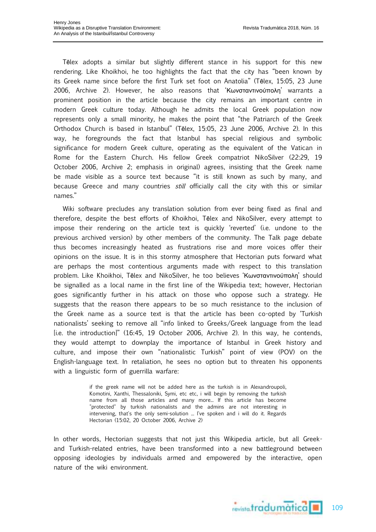Tēlex adopts a similar but slightly different stance in his support for this new rendering. Like Khoikhoi, he too highlights the fact that the city has "been known by its Greek name since before the first Turk set foot on Anatolia" (Tēlex, 15:05, 23 June 2006, Archive 2). However, he also reasons that 'Κωνσταντινούπολη' warrants a prominent position in the article because the city remains an important centre in modern Greek culture today. Although he admits the local Greek population now represents only a small minority, he makes the point that "the Patriarch of the Greek Orthodox Church is based in Istanbul" (Tēlex, 15:05, 23 June 2006, Archive 2). In this way, he foregrounds the fact that Istanbul has special religious and symbolic significance for modern Greek culture, operating as the equivalent of the Vatican in Rome for the Eastern Church. His fellow Greek compatriot NikoSilver (22:29, 19 October 2006, Archive 2; emphasis in original) agrees, insisting that the Greek name be made visible as a source text because "it is still known as such by many, and because Greece and many countries *still* officially call the city with this or similar names."

Wiki software precludes any translation solution from ever being fixed as final and therefore, despite the best efforts of Khoikhoi, Tēlex and NikoSilver, every attempt to impose their rendering on the article text is quickly 'reverted' (i.e. undone to the previous archived version) by other members of the community. The Talk page debate thus becomes increasingly heated as frustrations rise and more voices offer their opinions on the issue. It is in this stormy atmosphere that Hectorian puts forward what are perhaps the most contentious arguments made with respect to this translation problem. Like Khoikhoi, Tēlex and NikoSilver, he too believes 'Κωνσταντινούπολη' should be signalled as a local name in the first line of the Wikipedia text; however, Hectorian goes significantly further in his attack on those who oppose such a strategy. He suggests that the reason there appears to be so much resistance to the inclusion of the Greek name as a source text is that the article has been co-opted by 'Turkish nationalists' seeking to remove all "info linked to Greeks/Greek language from the lead [i.e. the introduction]" (16:45, 19 October 2006, Archive 2). In this way, he contends, they would attempt to downplay the importance of Istanbul in Greek history and culture, and impose their own "nationalistic Turkish" point of view (POV) on the English-language text. In retaliation, he sees no option but to threaten his opponents with a linguistic form of guerrilla warfare:

> if the greek name will not be added here as the turkish is in Alexandroupoli, Komotini, Xanthi, Thessaloniki, Symi, etc etc, i will begin by removing the turkish name from all those articles and many more... If this article has become "protected" by turkish nationalists and the admins are not interesting in intervening, that's the only semi-solution ... I've spoken and i will do it. Regards Hectorian (15:02, 20 October 2006, Archive 2)

In other words, Hectorian suggests that not just this Wikipedia article, but all Greekand Turkish-related entries, have been transformed into a new battleground between opposing ideologies by individuals armed and empowered by the interactive, open nature of the wiki environment.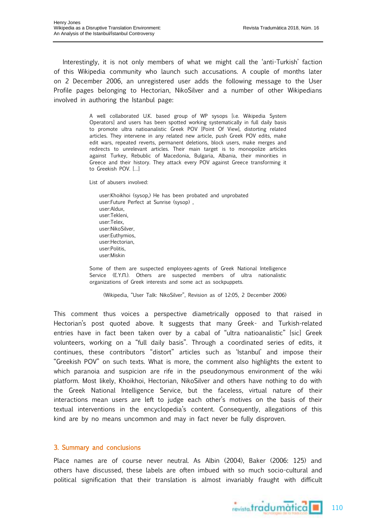Interestingly, it is not only members of what we might call the 'anti-Turkish' faction of this Wikipedia community who launch such accusations. A couple of months later on 2 December 2006, an unregistered user adds the following message to the User Profile pages belonging to Hectorian, NikoSilver and a number of other Wikipedians involved in authoring the Istanbul page:

> A well collaborated U.K. based group of WP sysops [i.e. Wikipedia System Operators] and users has been spotted working systematically in full daily basis to promote ultra natioanalistic Greek POV [Point Of View], distorting related articles. They intervene in any related new article, push Greek POV edits, make edit wars, repeated reverts, permanent deletions, block users, make merges and redirects to unrelevant articles. Their main target is to monopolize articles against Turkey, Rebublic of Macedonia, Bulgaria, Albania, their minorities in Greece and their history. They attack every POV against Greece transforming it to Greekish POV. […]

List of abusers involved:

user:Khoikhoi (sysop,) He has been probated and unprobated user:Future Perfect at Sunrise (sysop) , user:Aldux, user:Tekleni, user:Telex, user:NikoSilver, user:Euthymios, user:Hectorian, user:Politis, user:Miskin

Some of them are suspected employees-agents of Greek National Intelligence Service (E.Y.Π.). Others are suspected members of ultra nationalistic organizations of Greek interests and some act as sockpuppets.

(Wikipedia, "User Talk: NikoSilver", Revision as of 12:05, 2 December 2006)

This comment thus voices a perspective diametrically opposed to that raised in Hectorian's post quoted above. It suggests that many Greek- and Turkish-related entries have in fact been taken over by a cabal of "ultra natioanalistic" [sic] Greek volunteers, working on a "full daily basis". Through a coordinated series of edits, it continues, these contributors "distort" articles such as 'Istanbul' and impose their "Greekish POV" on such texts. What is more, the comment also highlights the extent to which paranoia and suspicion are rife in the pseudonymous environment of the wiki platform. Most likely, Khoikhoi, Hectorian, NikoSilver and others have nothing to do with the Greek National Intelligence Service, but the faceless, virtual nature of their interactions mean users are left to judge each other's motives on the basis of their textual interventions in the encyclopedia's content. Consequently, allegations of this kind are by no means uncommon and may in fact never be fully disproven.

### 3. Summary and conclusions

Place names are of course never neutral. As Albin (2004), Baker (2006: 125) and others have discussed, these labels are often imbued with so much socio-cultural and political signification that their translation is almost invariably fraught with difficult

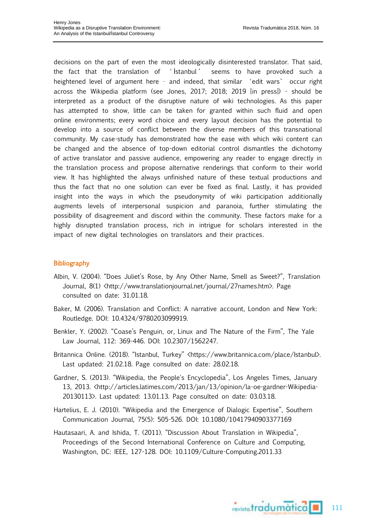decisions on the part of even the most ideologically disinterested translator. That said, the fact that the translation of ' İstanbul ' seems to have provoked such a heightened level of argument here – and indeed, that similar 'edit wars' occur right across the Wikipedia platform (see Jones, 2017; 2018; 2019 [in press]) - should be interpreted as a product of the disruptive nature of wiki technologies. As this paper has attempted to show, little can be taken for granted within such fluid and open online environments; every word choice and every layout decision has the potential to develop into a source of conflict between the diverse members of this transnational community. My case-study has demonstrated how the ease with which wiki content can be changed and the absence of top-down editorial control dismantles the dichotomy of active translator and passive audience, empowering any reader to engage directly in the translation process and propose alternative renderings that conform to their world view. It has highlighted the always unfinished nature of these textual productions and thus the fact that no one solution can ever be fixed as final. Lastly, it has provided insight into the ways in which the pseudonymity of wiki participation additionally augments levels of interpersonal suspicion and paranoia, further stimulating the possibility of disagreement and discord within the community. These factors make for a highly disrupted translation process, rich in intrigue for scholars interested in the impact of new digital technologies on translators and their practices.

### Bibliography

- Albin, V. (2004). "Does Juliet's Rose, by Any Other Name, Smell as Sweet?", Translation Journal, 8(1) <http://www.translationjournal.net/journal/27names.htm>. Page consulted on date: 31.01.18.
- Baker, M. (2006). Translation and Conflict: A narrative account, London and New York: Routledge. DOI: 10.4324/9780203099919.
- Benkler, Y. (2002). "Coase's Penguin, or, Linux and The Nature of the Firm", The Yale Law Journal, 112: 369-446. DOI: 10.2307/1562247.
- Britannica Online. (2018). "Istanbul, Turkey" <https://www.britannica.com/place/Istanbul>. Last updated: 21.02.18. Page consulted on date: 28.02.18.
- Gardner, S. (2013). "Wikipedia, the People's Encyclopedia", Los Angeles Times, January 13, 2013. <http://articles.latimes.com/2013/jan/13/opinion/la-oe-gardner-Wikipedia-20130113>. Last updated: 13.01.13. Page consulted on date: 03.03.18.
- Hartelius, E. J. (2010). "Wikipedia and the Emergence of Dialogic Expertise", Southern Communication Journal, 75(5): 505-526. DOI: 10.1080/10417940903377169
- Hautasaari, A. and Ishida, T. (2011). "Discussion About Translation in Wikipedia", Proceedings of the Second International Conference on Culture and Computing, Washington, DC: IEEE, 127-128. DOI: 10.1109/Culture-Computing.2011.33

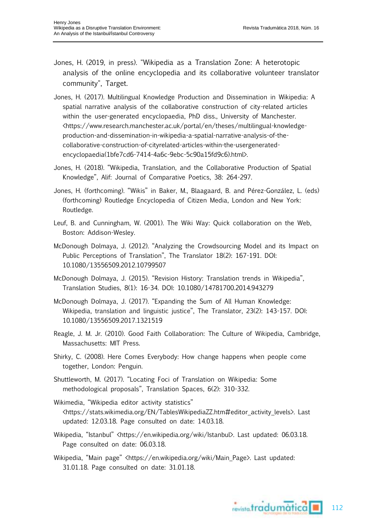- Jones, H. (2019, in press). "Wikipedia as a Translation Zone: A heterotopic analysis of the online encyclopedia and its collaborative volunteer translator community", Target.
- Jones, H. (2017). Multilingual Knowledge Production and Dissemination in Wikipedia: A spatial narrative analysis of the collaborative construction of city-related articles within the user-generated encyclopaedia, PhD diss., University of Manchester. <https://www.research.manchester.ac.uk/portal/en/theses/multilingual-knowledgeproduction-and-dissemination-in-wikipedia-a-spatial-narrative-analysis-of-thecollaborative-construction-of-cityrelated-articles-within-the-usergeneratedencyclopaedia(1bfe7cd6-7414-4a6c-9ebc-5c90a15fd9c6).html>.
- Jones, H. (2018). "Wikipedia, Translation, and the Collaborative Production of Spatial Knowledge", Alif: Journal of Comparative Poetics, 38: 264-297.
- Jones, H. (forthcoming). "Wikis" in Baker, M., Blaagaard, B. and Pérez-González, L. (eds) (forthcoming) Routledge Encyclopedia of Citizen Media, London and New York: Routledge.
- Leuf, B. and Cunningham, W. (2001). The Wiki Way: Quick collaboration on the Web, Boston: Addison-Wesley.
- McDonough Dolmaya, J. (2012). "Analyzing the Crowdsourcing Model and its Impact on Public Perceptions of Translation", The Translator 18(2): 167-191. DOI: 10.1080/13556509.2012.10799507
- McDonough Dolmaya, J. (2015). "Revision History: Translation trends in Wikipedia", Translation Studies, 8(1): 16-34. DOI: 10.1080/14781700.2014.943279
- McDonough Dolmaya, J. (2017). "Expanding the Sum of All Human Knowledge: Wikipedia, translation and linguistic justice", The Translator, 23(2): 143-157. DOI: 10.1080/13556509.2017.1321519
- Reagle, J. M. Jr. (2010). Good Faith Collaboration: The Culture of Wikipedia, Cambridge, Massachusetts: MIT Press.
- Shirky, C. (2008). Here Comes Everybody: How change happens when people come together, London: Penguin.
- Shuttleworth, M. (2017). "Locating Foci of Translation on Wikipedia: Some methodological proposals", Translation Spaces, 6(2): 310-332.
- Wikimedia, "Wikipedia editor activity statistics" <https://stats.wikimedia.org/EN/TablesWikipediaZZ.htm#editor\_activity\_levels>. Last updated: 12.03.18. Page consulted on date: 14.03.18.
- Wikipedia, "Istanbul" <https://en.wikipedia.org/wiki/Istanbul>. Last updated: 06.03.18. Page consulted on date: 06.03.18.
- Wikipedia, "Main page" <https://en.wikipedia.org/wiki/Main\_Page>. Last updated: 31.01.18. Page consulted on date: 31.01.18.